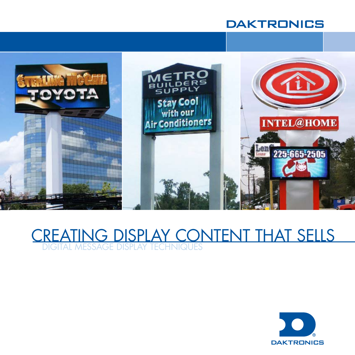## **DAKTRONICS**



## DIGITAL MESSAGE DISPLAY TECHNIQUES CREATING DISPLAY CONTENT THAT SELLS

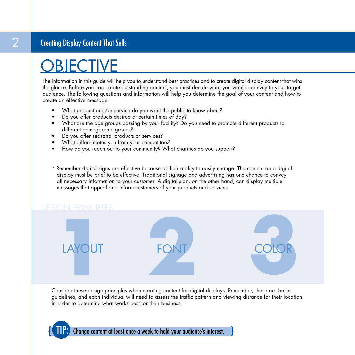## Creating Display Content That Sells

# **OBJECTIVE**

The information in this guide will help you to understand best practices and to create digital display content that wins the glance. Before you can create outstanding content, you must decide what you want to convey to your target audience. The following questions and information will help you determine the goal of your content and how to create an effective message.

- What product and/or service do you want the public to know about?
- Do you offer products desired at certain times of day?
- What are the age groups passing by your facility? Do you need to promote different products to different demographic groups?
- Do you offer seasonal products or services?
- What differentiates you from your competitors?
- How do you reach out to your community? What charities do you support?
- \* Remember digital signs are effective because of their ability to easily change. The content on a digital display must be brief to be effective. Traditional signage and advertising has one chance to convey all necessary information to your customer. A digital sign, on the other hand, can display multiple messages that appeal and inform customers of your products and services.



Consider these design principles when creating content for digital displays. Remember, these are basic guidelines, and each individual will need to assess the traffic pattern and viewing distance for their location in order to determine what works best for their business.

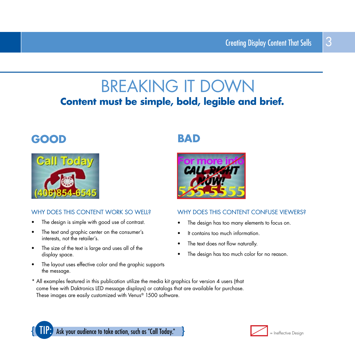## **BREAKING IT DOWN Content must be simple, bold, legible and brief.**

## **GOOD BAD**



## WHY DOES THIS CONTENT WORK SO WELL?

- The design is simple with good use of contrast.
- The text and graphic center on the consumer's interests, not the retailer's.
- The size of the text is large and uses all of the display space.
- The layout uses effective color and the graphic supports the message.



## WHY DOES THIS CONTENT CONFUSE VIEWERS?

- The design has too many elements to focus on.
- It contains too much information
- The text does not flow naturally.
- The design has too much color for no reason.
- \* All examples featured in this publication utilize the media kit graphics for version 4 users (that come free with Daktronics LED message displays) or catalogs that are available for purchase. These images are easily customized with Venus<sup>®</sup> 1500 software.



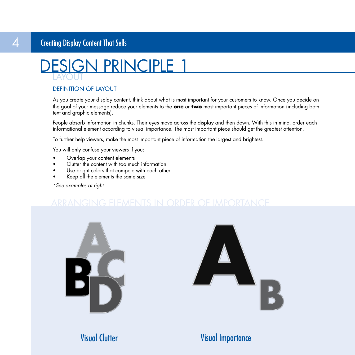## Creating Display Content That Sells



## DEFINITION OF LAYOUT

As you create your display content, think about what is most important for your customers to know. Once you decide on the goal of your message reduce your elements to the **one** or **two** most important pieces of information (including both text and graphic elements).

People absorb information in chunks. Their eyes move across the display and then down. With this in mind, order each informational element according to visual importance. The most important piece should get the greatest attention.

To further help viewers, make the most important piece of information the largest and brightest.

You will only confuse your viewers if you:

- Overlap your content elements
- Clutter the content with too much information
- Use bright colors that compete with each other
- Keep all the elements the same size

\*See examples at right





Visual Clutter

## Visual Importance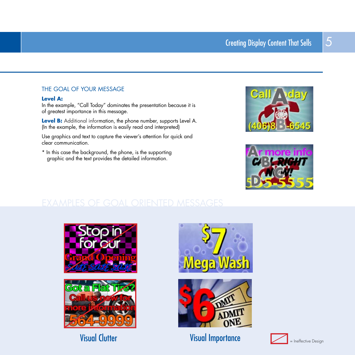## THE GOAL OF YOUR MESSAGE

#### **Level A:**

In the example, "Call Today" dominates the presentation because it is of greatest importance in this message.

Level B: Additional information, the phone number, supports Level A. (In the example, the information is easily read and interpreted)

Use graphics and text to capture the viewer's attention for quick and clear communication.

\* In this case the background, the phone, is the supporting graphic and the text provides the detailed information.













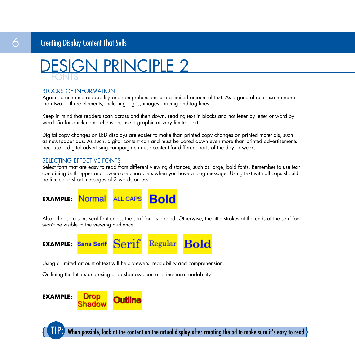## Creating Display Content That Sells



### BLOCKS OF INFORMATION

Again, to enhance readability and comprehension, use a limited amount of text. As a general rule, use no more than two or three elements, including logos, images, pricing and tag lines.

Keep in mind that readers scan across and then down, reading text in blocks and not letter by letter or word by word. So for quick comprehension, use a graphic or very limited text.

Digital copy changes on LED displays are easier to make than printed copy changes on printed materials, such as newspaper ads. As such, digital content can and must be pared down even more than printed advertisements because a digital advertising campaign can use content for different parts of the day or week.

### SELECTING EFFECTIVE FONTS

Select fonts that are easy to read from different viewing distances, such as large, bold fonts. Remember to use text containing both upper and lower-case characters when you have a long message. Using text with all caps should be limited to short messages of 3 words or less.



Also, choose a sans serif font unless the serif font is bolded. Otherwise, the little strokes at the ends of the serif font won't be visible to the viewing audience.



Using a limited amount of text will help viewers' readability and comprehension.

Outlining the letters and using drop shadows can also increase readability.



 $\{$   $\Pi$   $\}$ . When possible, look at the content on the actual display after creating the ad to make sure it's easy to read. $\}$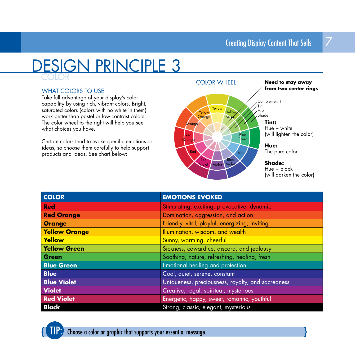## COLOR DESIGN PRINCIPLE 3

### WHAT COLORS TO USE

Take full advantage of your display's color capability by using rich, vibrant colors. Bright, saturated colors (colors with no white in them) work better than pastel or low-contrast colors. The color wheel to the right will help you see what choices you have.

Certain colors tend to evoke specific emotions or ideas, so choose them carefully to help support products and ideas. See chart below:



| <b>COLOR</b>         | <b>EMOTIONS EVOKED</b>                            |
|----------------------|---------------------------------------------------|
| <b>Red</b>           | Stimulating, exciting, provocative, dynamic       |
| <b>Red Orange</b>    | Domination, aggression, and action                |
| <b>Orange</b>        | Friendly, vital, playful, energizing, inviting    |
| <b>Yellow Orange</b> | Illumination, wisdom, and wealth                  |
| Yellow               | Sunny, warming, cheerful                          |
| <b>Yellow Green</b>  | Sickness, cowardice, discord, and jealousy        |
| <b>Green</b>         | Soothing, nature, refreshing, healing, fresh      |
| <b>Blue Green</b>    | Emotional healing and protection                  |
| <b>Blue</b>          | Cool, quiet, serene, constant                     |
| <b>Blue Violet</b>   | Uniqueness, preciousness, royalty, and sacredness |
| <b>Violet</b>        | Creative, regal, spiritual, mysterious            |
| <b>Red Violet</b>    | Energetic, happy, sweet, romantic, youthful       |
| <b>Black</b>         | Strong, classic, elegant, mysterious              |

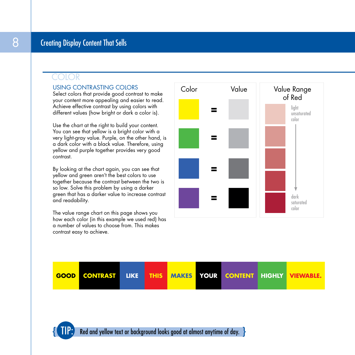## COLOR

## USING CONTRASTING COLORS

Select colors that provide good contrast to make your content more appealing and easier to read. Achieve effective contrast by using colors with different values (how bright or dark a color is).

Use the chart at the right to build your content. You can see that yellow is a bright color with a very light-gray value. Purple, on the other hand, is a dark color with a black value. Therefore, using yellow and purple together provides very good contrast.

By looking at the chart again, you can see that yellow and green aren't the best colors to use together because the contrast between the two is so low. Solve this problem by using a darker green that has a darker value to increase contrast and readability.

The value range chart on this page shows you how each color (in this example we used red) has a number of values to choose from. This makes contrast easy to achieve.







Red and yellow text or background looks good at almost anytime of day.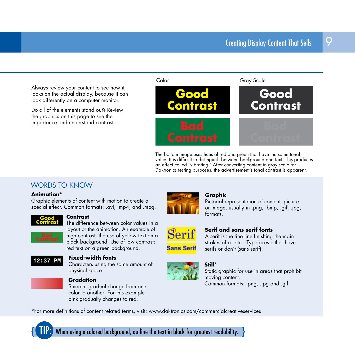Always review your content to see how it looks on the actual display, because it can look differently on a computer monitor.

Do all of the elements stand out? Review the graphics on this page to see the importance and understand contrast.



The bottom image uses hues of red and green that have the same tonal value. It is difficult to distinguish between background and text. This produces an effect called "vibrating." After converting content to gray scale for Daktronics testing purposes, the advertisement's tonal contrast is apparent.

## WORDS TO KNOW

#### **Animation\***

Graphic elements of content with motion to create a special effect. Common formats: .avi, .mp4, and .mpg.



#### **Contrast**

The difference between color values in a layout or the animation. An example of high contrast: the use of yellow text on a black background. Use of low contrast: red text on a green background.



### **Fixed-width fonts**

Characters using the same amount of physical space.



### **Gradation**

Smooth, gradual change from one color to another. For this example pink gradually changes to red.



#### **Graphic**

Pictorial representation of content, picture or image, usually in .png, .bmp, .gif, .jpg, formats.

# Seri

**Sans Serif** 

#### **Serif and sans serif fonts** A serif is the fine line finishing the main

strokes of a letter. Typefaces either have serifs or don't (sans serif).



## **Still\***

Static graphic for use in areas that prohibit moving content. Common formats: .png, .jpg and .gif

\*formoredefinitionsofcontentrelatedterms,visit:www.daktronics.com/commercialcreativeservices



When using a colored background, outline the text in black for greatest readability.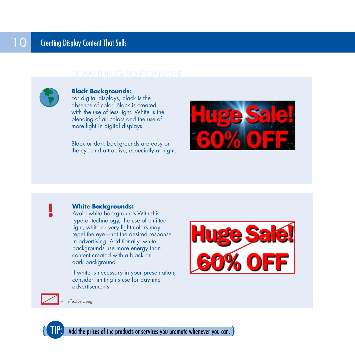



## **Black Backgrounds:**

For digital displays, black is the absence of color. Black is created with the use of less light. White is the blending of all colors and the use of more light in digital displays.

Black or dark backgrounds are easy on the eye and attractive, especially at night.





## **White Backgrounds:**

Avoid white backgrounds. With this type of technology, the use of emitted light, white or very light colors may repel the eye—not the desired response in advertising. Additionally, white backgrounds use more energy than content created with a black or dark background.

If white is necessary in your presentation, consider limiting its use for daytime advertisements.



= Ineffective Design

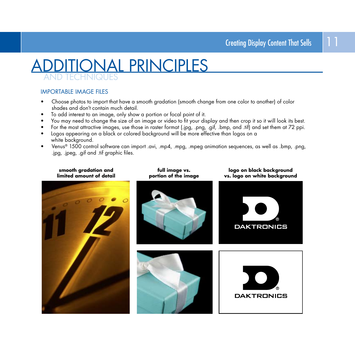## AND TECHNIQUES **ONAL PRINCIPLES**

## IMPORTABLE IMAGE FILES

- Choose photos to import that have a smooth gradation (smooth change from one color to another) of color shades and don't contain much detail.
- To add interest to an image, only show a portion or focal point of it.
- You may need to change the size of an image or video to fit your display and then crop it so it will look its best.
- For the most attractive images, use those in raster format (.jpg, .png, .gif, .bmp, and .tif) and set them at 72 ppi.
- Logos appearing on a black or colored background will be more effective than logos on a white background.
- Venus® 1500 control software can import .avi, .mp4, .mpg, .mpeg animation sequences, as well as .bmp, .png, .jpg, .jpeg, .gif and .tif graphic files.

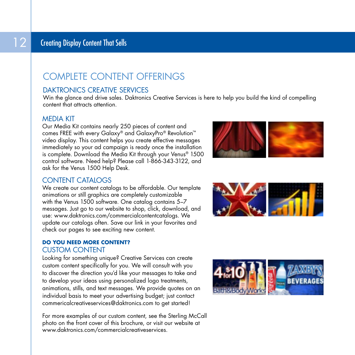## COMPLETE CONTENT OFFERINGS

## DAKTRONICS CREATIVE SERVICES

Win the glance and drive sales. Daktronics Creative Services is here to help you build the kind of compelling content that attracts attention.

## MEDIA KIT

Our Media Kit contains nearly 250 pieces of content and comes FREE with every Galaxy® and GalaxyPro® Revolution™ video display. This content helps you create effective messages immediately so your ad campaign is ready once the installation is complete. Download the Media Kit through your Venus® 1500 control software. Need help? Please call 1-866-343-3122, and ask for the Venus 1500 Help Desk.



## CONTENT CATALOGS

We create our content catalogs to be affordable. Our template animations or still graphics are completely customizable with the Venus 1500 software. One catalog contains 5–7 messages. Just go to our website to shop, click, download, and use: www.daktronics.com/commercialcontentcatalogs. We update our catalogs often. Save our link in your favorites and check our pages to see exciting new content.

## **DO YOU NEED MORE CONTENT?** CUSTOM CONTENT

Looking for something unique? Creative Services can create custom content specifically for you. We will consult with you to discover the direction you'd like your messages to take and to develop your ideas using personalized logo treatments, animations, stills, and text messages. We provide quotes on an individual basis to meet your advertising budget; just contact commericalcreativeservices@daktronics.com to get started!

For more examples of our custom content, see the Sterling McCall photo on the front cover of this brochure, or visit our website at www.daktronics.com/commercialcreativeservices.



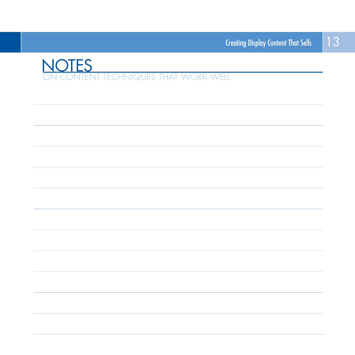

| <u> 1989 - Jan Samuel Barbara, margaret eta batean batean batean batean batean batean batean batean batean batean</u> |  |
|-----------------------------------------------------------------------------------------------------------------------|--|
|                                                                                                                       |  |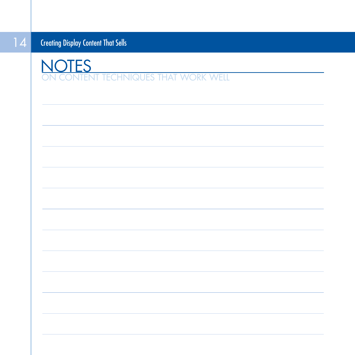**NT TECHNIQUES THAT WORK WELL NOTES**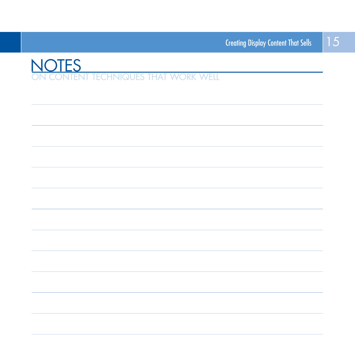

| <u> 1989 - Johann Harry Harry Harry Harry Harry Harry Harry Harry Harry Harry Harry Harry Harry Harry Harry Harry</u> |
|-----------------------------------------------------------------------------------------------------------------------|
|                                                                                                                       |
|                                                                                                                       |
|                                                                                                                       |
|                                                                                                                       |
|                                                                                                                       |
|                                                                                                                       |
|                                                                                                                       |
|                                                                                                                       |
|                                                                                                                       |
|                                                                                                                       |
|                                                                                                                       |
|                                                                                                                       |
|                                                                                                                       |
|                                                                                                                       |
|                                                                                                                       |
|                                                                                                                       |
|                                                                                                                       |
|                                                                                                                       |
|                                                                                                                       |
|                                                                                                                       |
|                                                                                                                       |
|                                                                                                                       |
|                                                                                                                       |
|                                                                                                                       |
|                                                                                                                       |
|                                                                                                                       |
|                                                                                                                       |
|                                                                                                                       |
|                                                                                                                       |
|                                                                                                                       |
|                                                                                                                       |
| <u> 1989 - Andrea Santana, amerikana menyebarkan banyak di sebagai banyak di sebagai banyak di sebagai banyak di</u>  |
|                                                                                                                       |